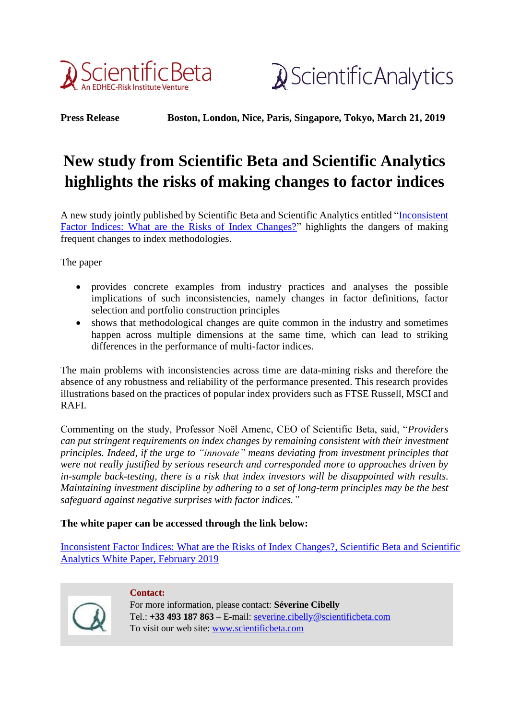



**Press Release Boston, London, Nice, Paris, Singapore, Tokyo, March 21, 2019**

# **New study from Scientific Beta and Scientific Analytics highlights the risks of making changes to factor indices**

A new study jointly published by Scientific Beta and Scientific Analytics entitled ["Inconsistent](http://docs.scientificbeta.com/Library/External/White_Papers/Scientific_Beta_Publication_Inconsistent_Factor_Indices)  [Factor Indices: What are the Risks of Index Changes?"](http://docs.scientificbeta.com/Library/External/White_Papers/Scientific_Beta_Publication_Inconsistent_Factor_Indices) highlights the dangers of making frequent changes to index methodologies.

The paper

- provides concrete examples from industry practices and analyses the possible implications of such inconsistencies, namely changes in factor definitions, factor selection and portfolio construction principles
- shows that methodological changes are quite common in the industry and sometimes happen across multiple dimensions at the same time, which can lead to striking differences in the performance of multi-factor indices.

The main problems with inconsistencies across time are data-mining risks and therefore the absence of any robustness and reliability of the performance presented. This research provides illustrations based on the practices of popular index providers such as FTSE Russell, MSCI and RAFI.

Commenting on the study, Professor Noël Amenc, CEO of Scientific Beta, said, "*Providers can put stringent requirements on index changes by remaining consistent with their investment principles. Indeed, if the urge to "innovate" means deviating from investment principles that were not really justified by serious research and corresponded more to approaches driven by in-sample back-testing, there is a risk that index investors will be disappointed with results. Maintaining investment discipline by adhering to a set of long-term principles may be the best safeguard against negative surprises with factor indices."*

## **The white paper can be accessed through the link below:**

[Inconsistent Factor Indices: What are the Risks of Index Changes?, Scientific](http://docs.scientificbeta.com/Library/External/White_Papers/Scientific_Beta_Publication_Inconsistent_Factor_Indices) Beta and Scientific [Analytics White Paper, February 2019](http://docs.scientificbeta.com/Library/External/White_Papers/Scientific_Beta_Publication_Inconsistent_Factor_Indices)

### **Contact:**



For more information, please contact: **Séverine Cibelly** Tel.: **+33 493 187 863** – E-mail: [severine.cibelly@scientificbeta.com](mailto:severine.cibelly@scientificbeta.com) To visit our web site: [www.scientificbeta.com](http://www.scientificbeta.com/)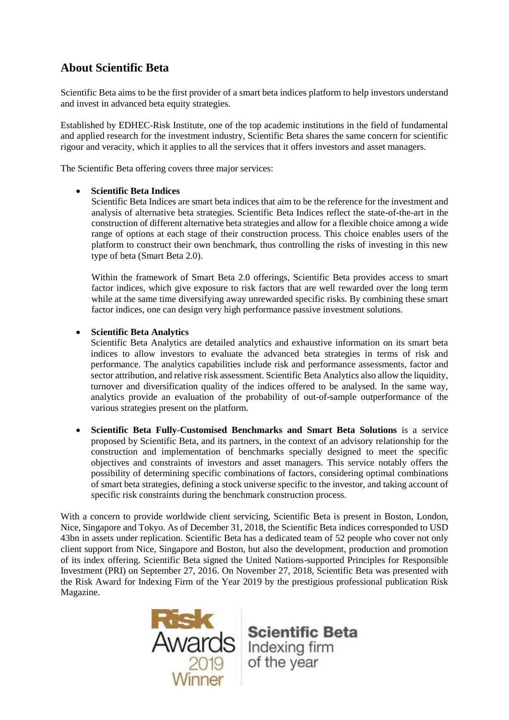## **About Scientific Beta**

Scientific Beta aims to be the first provider of a smart beta indices platform to help investors understand and invest in advanced beta equity strategies.

Established by EDHEC-Risk Institute, one of the top academic institutions in the field of fundamental and applied research for the investment industry, Scientific Beta shares the same concern for scientific rigour and veracity, which it applies to all the services that it offers investors and asset managers.

The Scientific Beta offering covers three major services:

#### **Scientific Beta Indices**

Scientific Beta Indices are smart beta indices that aim to be the reference for the investment and analysis of alternative beta strategies. Scientific Beta Indices reflect the state-of-the-art in the construction of different alternative beta strategies and allow for a flexible choice among a wide range of options at each stage of their construction process. This choice enables users of the platform to construct their own benchmark, thus controlling the risks of investing in this new type of beta (Smart Beta 2.0).

Within the framework of Smart Beta 2.0 offerings, Scientific Beta provides access to smart factor indices, which give exposure to risk factors that are well rewarded over the long term while at the same time diversifying away unrewarded specific risks. By combining these smart factor indices, one can design very high performance passive investment solutions.

#### **Scientific Beta Analytics**

Scientific Beta Analytics are detailed analytics and exhaustive information on its smart beta indices to allow investors to evaluate the advanced beta strategies in terms of risk and performance. The analytics capabilities include risk and performance assessments, factor and sector attribution, and relative risk assessment. Scientific Beta Analytics also allow the liquidity, turnover and diversification quality of the indices offered to be analysed. In the same way, analytics provide an evaluation of the probability of out-of-sample outperformance of the various strategies present on the platform.

 **Scientific Beta Fully-Customised Benchmarks and Smart Beta Solutions** is a service proposed by Scientific Beta, and its partners, in the context of an advisory relationship for the construction and implementation of benchmarks specially designed to meet the specific objectives and constraints of investors and asset managers. This service notably offers the possibility of determining specific combinations of factors, considering optimal combinations of smart beta strategies, defining a stock universe specific to the investor, and taking account of specific risk constraints during the benchmark construction process.

With a concern to provide worldwide client servicing, Scientific Beta is present in Boston, London, Nice, Singapore and Tokyo. As of December 31, 2018, the Scientific Beta indices corresponded to USD 43bn in assets under replication. Scientific Beta has a dedicated team of 52 people who cover not only client support from Nice, Singapore and Boston, but also the development, production and promotion of its index offering. Scientific Beta signed the United Nations-supported Principles for Responsible Investment (PRI) on September 27, 2016. On November 27, 2018, Scientific Beta was presented with the Risk Award for Indexing Firm of the Year 2019 by the prestigious professional publication Risk Magazine.